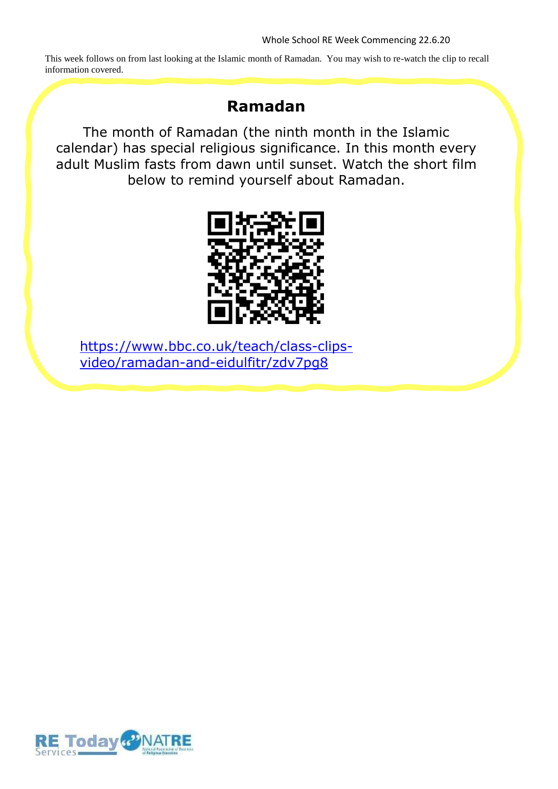This week follows on from last looking at the Islamic month of Ramadan. You may wish to re-watch the clip to recall information covered.

## **Ramadan**

The month of Ramadan (the ninth month in the Islamic calendar) has special religious significance. In this month every adult Muslim fasts from dawn until sunset. Watch the short film below to remind yourself about Ramadan.



https://www.bbc.co.uk/teach/class-clipsvideo/ramadan-and-eidulfitr/zdv7pg8